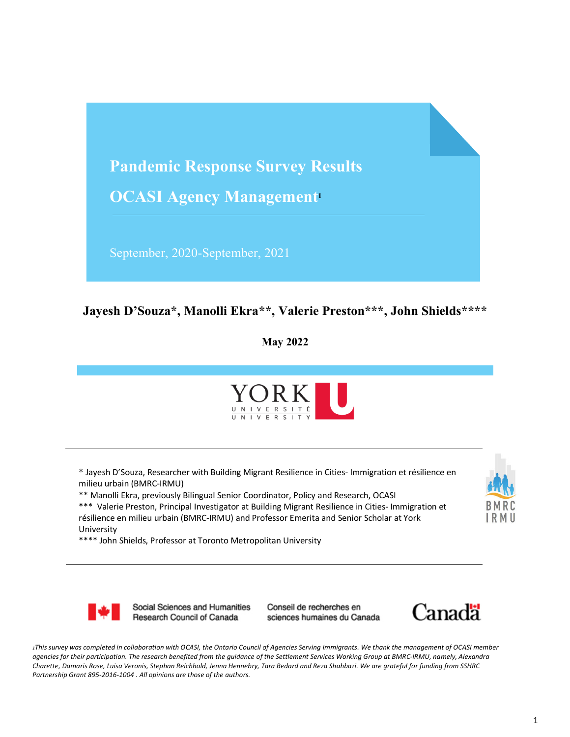

#### **Jayesh D'Souza\*, Manolli Ekra\*\*, Valerie Preston\*\*\*, John Shields\*\*\*\***

**May 2022**



\* Jayesh D'Souza, Researcher with Building Migrant Resilience in Cities- Immigration et résilience en milieu urbain (BMRC-IRMU)

\*\* Manolli Ekra, previously Bilingual Senior Coordinator, Policy and Research, OCASI

\*\*\* Valerie Preston, Principal Investigator at Building Migrant Resilience in Cities- Immigration et résilience en milieu urbain (BMRC-IRMU) and Professor Emerita and Senior Scholar at York University

\*\*\*\* John Shields, Professor at Toronto Metropolitan University



Social Sciences and Humanities Research Council of Canada

Conseil de recherches en sciences humaines du Canada



*1This survey was completed in collaboration with OCASI, the Ontario Council of Agencies Serving Immigrants. We thank the management of OCASI member agencies for their participation. The research benefited from the guidance of the Settlement Services Working Group at BMRC-IRMU, namely, Alexandra Charette, Damaris Rose, Luisa Veronis, Stephan Reichhold, Jenna Hennebry, Tara Bedard and Reza Shahbazi. We are grateful for funding from SSHRC Partnership Grant 895-2016-1004 . All opinions are those of the authors.*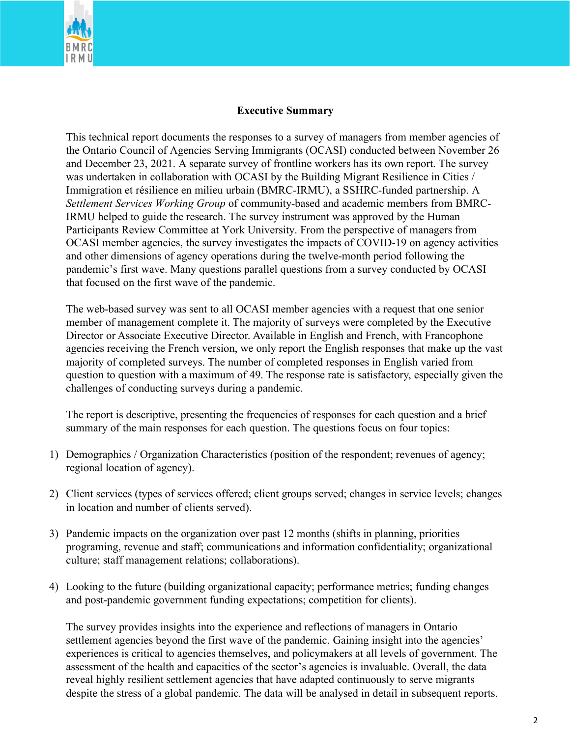

#### **Executive Summary**

This technical report documents the responses to a survey of managers from member agencies of the Ontario Council of Agencies Serving Immigrants (OCASI) conducted between November 26 and December 23, 2021. A separate survey of frontline workers has its own report. The survey was undertaken in collaboration with OCASI by the Building Migrant Resilience in Cities / Immigration et résilience en milieu urbain (BMRC-IRMU), a SSHRC-funded partnership. A *Settlement Services Working Group* of community-based and academic members from BMRC-IRMU helped to guide the research. The survey instrument was approved by the Human Participants Review Committee at York University. From the perspective of managers from OCASI member agencies, the survey investigates the impacts of COVID-19 on agency activities and other dimensions of agency operations during the twelve-month period following the pandemic's first wave. Many questions parallel questions from a survey conducted by OCASI that focused on the first wave of the pandemic.

The web-based survey was sent to all OCASI member agencies with a request that one senior member of management complete it. The majority of surveys were completed by the Executive Director or Associate Executive Director. Available in English and French, with Francophone agencies receiving the French version, we only report the English responses that make up the vast majority of completed surveys. The number of completed responses in English varied from question to question with a maximum of 49. The response rate is satisfactory, especially given the challenges of conducting surveys during a pandemic.

The report is descriptive, presenting the frequencies of responses for each question and a brief summary of the main responses for each question. The questions focus on four topics:

- 1) Demographics / Organization Characteristics (position of the respondent; revenues of agency; regional location of agency).
- 2) Client services (types of services offered; client groups served; changes in service levels; changes in location and number of clients served).
- 3) Pandemic impacts on the organization over past 12 months (shifts in planning, priorities programing, revenue and staff; communications and information confidentiality; organizational culture; staff management relations; collaborations).
- 4) Looking to the future (building organizational capacity; performance metrics; funding changes and post-pandemic government funding expectations; competition for clients).

The survey provides insights into the experience and reflections of managers in Ontario settlement agencies beyond the first wave of the pandemic. Gaining insight into the agencies' experiences is critical to agencies themselves, and policymakers at all levels of government. The assessment of the health and capacities of the sector's agencies is invaluable. Overall, the data reveal highly resilient settlement agencies that have adapted continuously to serve migrants despite the stress of a global pandemic. The data will be analysed in detail in subsequent reports.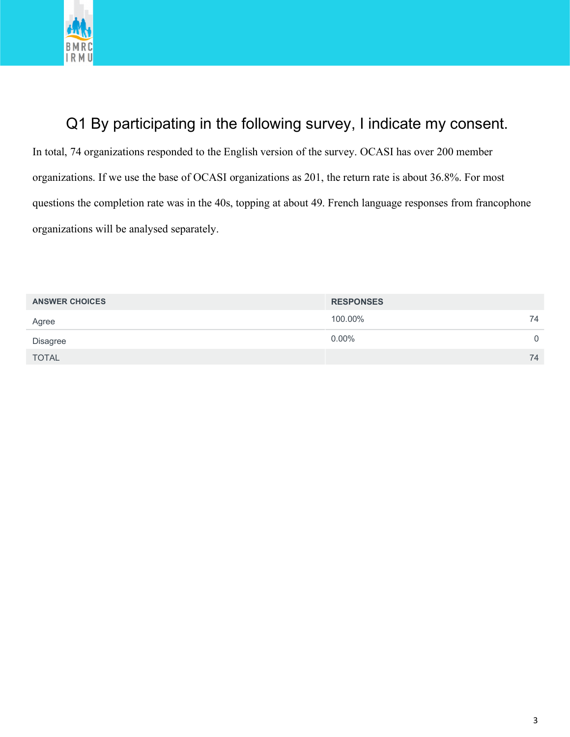

#### Q1 By participating in the following survey, I indicate my consent.

In total, 74 organizations responded to the English version of the survey. OCASI has over 200 member organizations. If we use the base of OCASI organizations as 201, the return rate is about 36.8%. For most questions the completion rate was in the 40s, topping at about 49. French language responses from francophone organizations will be analysed separately.

| <b>RESPONSES</b> |    |
|------------------|----|
| 100.00%          | 74 |
| $0.00\%$         | 0  |
|                  | 74 |
|                  |    |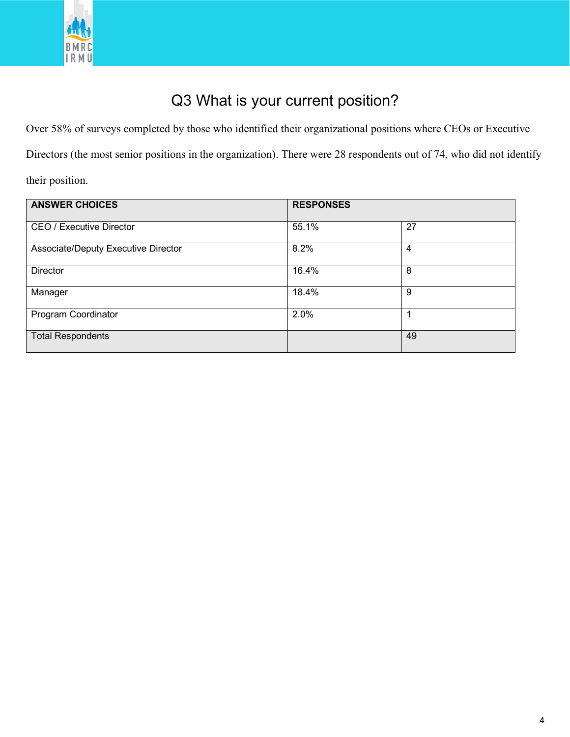

## Q3 What is your current position?

Over 58% of surveys completed by those who identified their organizational positions where CEOs or Executive

Directors (the most senior positions in the organization). There were 28 respondents out of 74, who did not identify

their position.

| <b>ANSWER CHOICES</b>               | <b>RESPONSES</b> |    |
|-------------------------------------|------------------|----|
| <b>CEO / Executive Director</b>     | 55.1%            | 27 |
| Associate/Deputy Executive Director | 8.2%             | 4  |
| <b>Director</b>                     | 16.4%            | 8  |
| Manager                             | 18.4%            | 9  |
| Program Coordinator                 | 2.0%             | 1  |
| <b>Total Respondents</b>            |                  | 49 |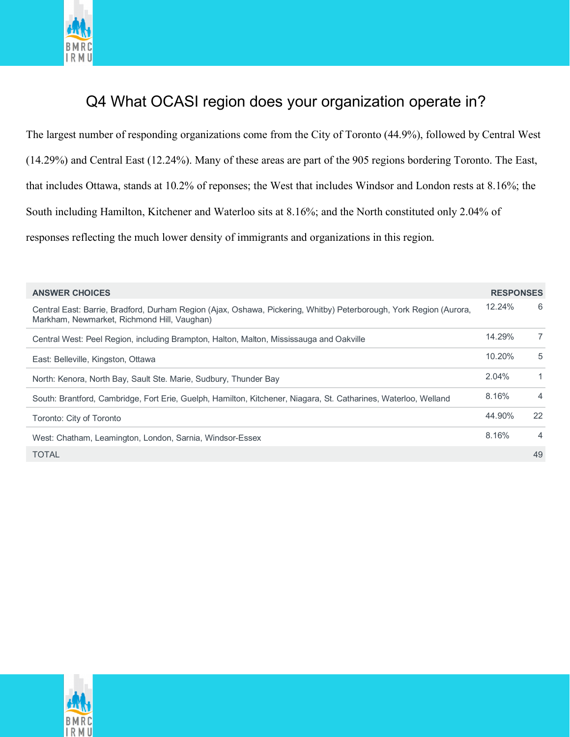

#### Q4 What OCASI region does your organization operate in?

The largest number of responding organizations come from the City of Toronto (44.9%), followed by Central West (14.29%) and Central East (12.24%). Many of these areas are part of the 905 regions bordering Toronto. The East, that includes Ottawa, stands at 10.2% of reponses; the West that includes Windsor and London rests at 8.16%; the South including Hamilton, Kitchener and Waterloo sits at 8.16%; and the North constituted only 2.04% of responses reflecting the much lower density of immigrants and organizations in this region.

| <b>ANSWER CHOICES</b>                                                                                                                                             | <b>RESPONSES</b> |                |
|-------------------------------------------------------------------------------------------------------------------------------------------------------------------|------------------|----------------|
| Central East: Barrie, Bradford, Durham Region (Ajax, Oshawa, Pickering, Whitby) Peterborough, York Region (Aurora,<br>Markham, Newmarket, Richmond Hill, Vaughan) | 12.24%           | 6              |
| Central West: Peel Region, including Brampton, Halton, Malton, Mississauga and Oakville                                                                           | 14.29%           | $\overline{7}$ |
| East: Belleville, Kingston, Ottawa                                                                                                                                | 10.20%           | 5              |
| North: Kenora, North Bay, Sault Ste. Marie, Sudbury, Thunder Bay                                                                                                  | 2.04%            | $\mathbf{1}$   |
| South: Brantford, Cambridge, Fort Erie, Guelph, Hamilton, Kitchener, Niagara, St. Catharines, Waterloo, Welland                                                   | 8.16%            | 4              |
| Toronto: City of Toronto                                                                                                                                          | 44.90%           | 22             |
| West: Chatham, Leamington, London, Sarnia, Windsor-Essex                                                                                                          | 8.16%            | 4              |
| <b>TOTAL</b>                                                                                                                                                      |                  | 49             |

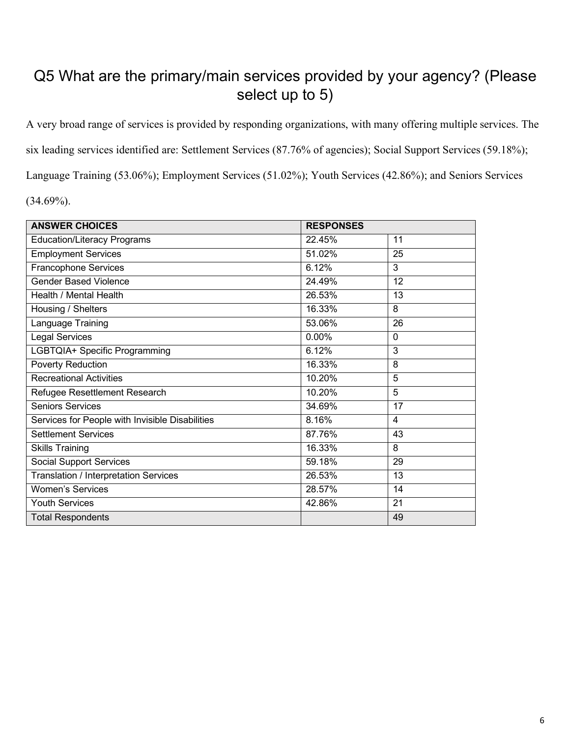#### Q5 What are the primary/main services provided by your agency? (Please select up to 5)

A very broad range of services is provided by responding organizations, with many offering multiple services. The six leading services identified are: Settlement Services (87.76% of agencies); Social Support Services (59.18%); Language Training (53.06%); Employment Services (51.02%); Youth Services (42.86%); and Seniors Services

 $(34.69\%)$ .

| <b>ANSWER CHOICES</b>                           | <b>RESPONSES</b> |                 |
|-------------------------------------------------|------------------|-----------------|
| <b>Education/Literacy Programs</b>              | 22.45%           | 11              |
| <b>Employment Services</b>                      | 51.02%           | 25              |
| <b>Francophone Services</b>                     | 6.12%            | $\overline{3}$  |
| <b>Gender Based Violence</b>                    | 24.49%           | 12              |
| Health / Mental Health                          | 26.53%           | 13              |
| Housing / Shelters                              | 16.33%           | 8               |
| Language Training                               | 53.06%           | 26              |
| <b>Legal Services</b>                           | 0.00%            | $\mathbf 0$     |
| LGBTQIA+ Specific Programming                   | 6.12%            | 3               |
| <b>Poverty Reduction</b>                        | 16.33%           | 8               |
| <b>Recreational Activities</b>                  | 10.20%           | 5               |
| Refugee Resettlement Research                   | 10.20%           | 5               |
| <b>Seniors Services</b>                         | 34.69%           | $\overline{17}$ |
| Services for People with Invisible Disabilities | 8.16%            | $\overline{4}$  |
| <b>Settlement Services</b>                      | 87.76%           | 43              |
| <b>Skills Training</b>                          | 16.33%           | 8               |
| <b>Social Support Services</b>                  | 59.18%           | 29              |
| Translation / Interpretation Services           | 26.53%           | 13              |
| <b>Women's Services</b>                         | 28.57%           | 14              |
| <b>Youth Services</b>                           | 42.86%           | 21              |
| <b>Total Respondents</b>                        |                  | 49              |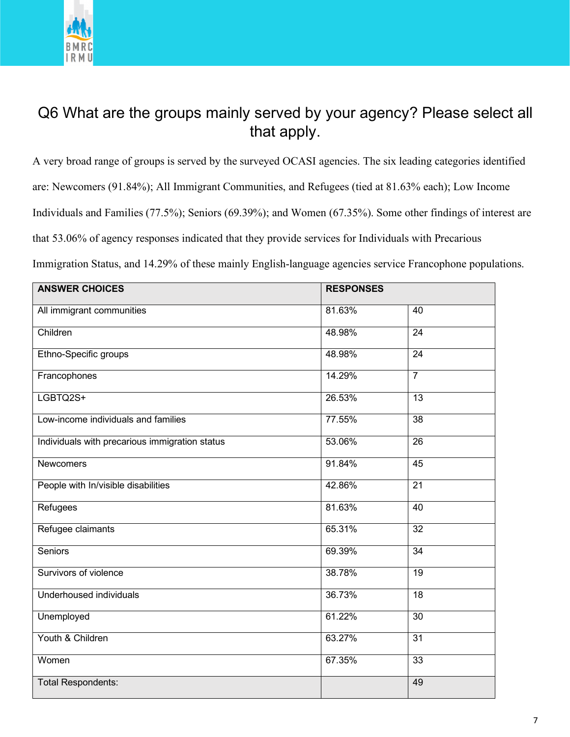

#### Q6 What are the groups mainly served by your agency? Please select all that apply.

A very broad range of groups is served by the surveyed OCASI agencies. The six leading categories identified are: Newcomers (91.84%); All Immigrant Communities, and Refugees (tied at 81.63% each); Low Income Individuals and Families (77.5%); Seniors (69.39%); and Women (67.35%). Some other findings of interest are that 53.06% of agency responses indicated that they provide services for Individuals with Precarious

Immigration Status, and 14.29% of these mainly English-language agencies service Francophone populations.

| <b>ANSWER CHOICES</b>                          | <b>RESPONSES</b> |                 |
|------------------------------------------------|------------------|-----------------|
| All immigrant communities                      | 81.63%           | 40              |
| Children                                       | 48.98%           | $\overline{24}$ |
| Ethno-Specific groups                          | 48.98%           | 24              |
| Francophones                                   | 14.29%           | $\overline{7}$  |
| LGBTQ2S+                                       | 26.53%           | 13              |
| Low-income individuals and families            | 77.55%           | 38              |
| Individuals with precarious immigration status | 53.06%           | 26              |
| <b>Newcomers</b>                               | 91.84%           | 45              |
| People with In/visible disabilities            | 42.86%           | $\overline{21}$ |
| Refugees                                       | 81.63%           | 40              |
| Refugee claimants                              | 65.31%           | 32              |
| <b>Seniors</b>                                 | 69.39%           | 34              |
| Survivors of violence                          | 38.78%           | $\overline{19}$ |
| Underhoused individuals                        | 36.73%           | 18              |
| Unemployed                                     | 61.22%           | $\overline{30}$ |
| Youth & Children                               | 63.27%           | $\overline{31}$ |
| Women                                          | 67.35%           | $\overline{33}$ |
| <b>Total Respondents:</b>                      |                  | 49              |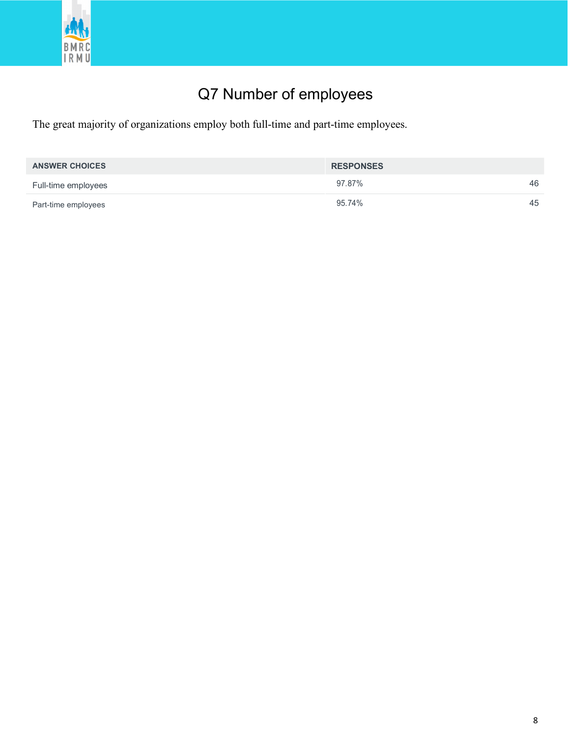

# Q7 Number of employees

The great majority of organizations employ both full-time and part-time employees.

| <b>ANSWER CHOICES</b> | <b>RESPONSES</b> |    |
|-----------------------|------------------|----|
| Full-time employees   | 97.87%           | 46 |
| Part-time employees   | 95.74%           | 45 |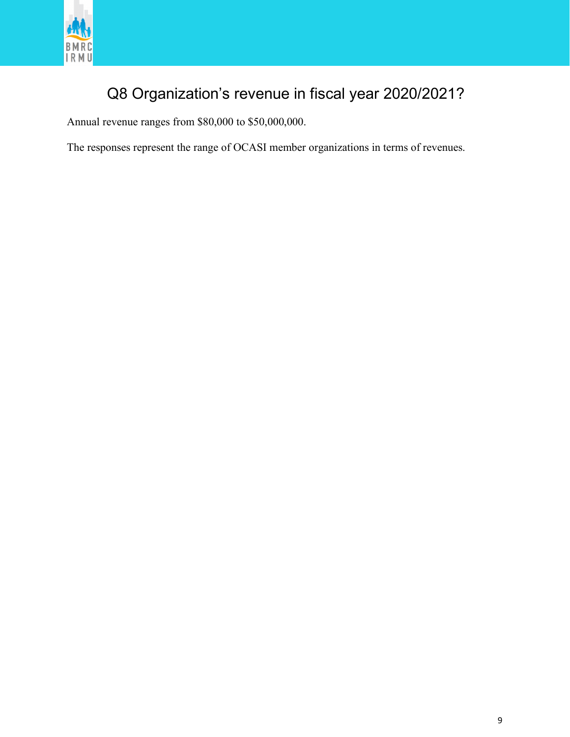

#### Q8 Organization's revenue in fiscal year 2020/2021?

Annual revenue ranges from \$80,000 to \$50,000,000.

The responses represent the range of OCASI member organizations in terms of revenues.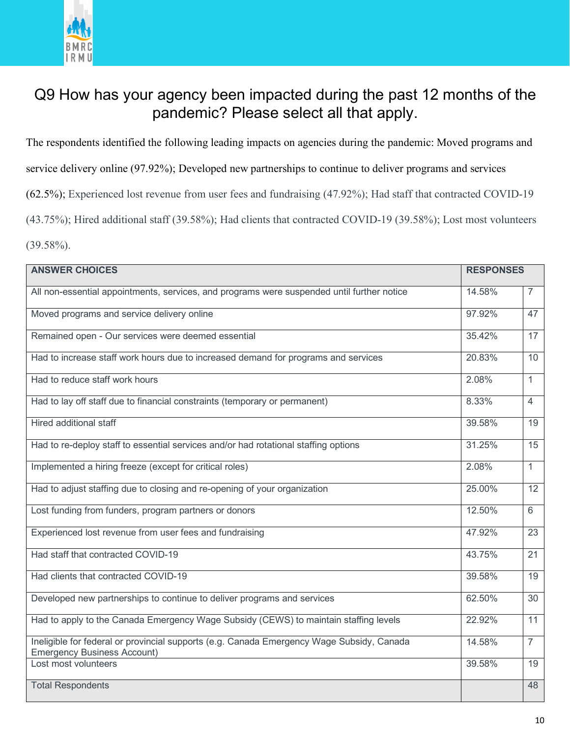

#### Q9 How has your agency been impacted during the past 12 months of the pandemic? Please select all that apply.

The respondents identified the following leading impacts on agencies during the pandemic: Moved programs and

service delivery online (97.92%); Developed new partnerships to continue to deliver programs and services

(62.5%); Experienced lost revenue from user fees and fundraising (47.92%); Had staff that contracted COVID-19

(43.75%); Hired additional staff (39.58%); Had clients that contracted COVID-19 (39.58%); Lost most volunteers

 $(39.58\%)$ .

| <b>ANSWER CHOICES</b>                                                                                                           | <b>RESPONSES</b> |                |
|---------------------------------------------------------------------------------------------------------------------------------|------------------|----------------|
| All non-essential appointments, services, and programs were suspended until further notice                                      | 14.58%           | 7              |
| Moved programs and service delivery online                                                                                      | 97.92%           | 47             |
| Remained open - Our services were deemed essential                                                                              | 35.42%           | 17             |
| Had to increase staff work hours due to increased demand for programs and services                                              | 20.83%           | 10             |
| Had to reduce staff work hours                                                                                                  | 2.08%            | $\mathbf{1}$   |
| Had to lay off staff due to financial constraints (temporary or permanent)                                                      | 8.33%            | $\overline{4}$ |
| <b>Hired additional staff</b>                                                                                                   | 39.58%           | 19             |
| Had to re-deploy staff to essential services and/or had rotational staffing options                                             | 31.25%           | 15             |
| Implemented a hiring freeze (except for critical roles)                                                                         | 2.08%            | $\mathbf{1}$   |
| Had to adjust staffing due to closing and re-opening of your organization                                                       | 25.00%           | 12             |
| Lost funding from funders, program partners or donors                                                                           | 12.50%           | 6              |
| Experienced lost revenue from user fees and fundraising                                                                         | 47.92%           | 23             |
| Had staff that contracted COVID-19                                                                                              | 43.75%           | 21             |
| Had clients that contracted COVID-19                                                                                            | 39.58%           | 19             |
| Developed new partnerships to continue to deliver programs and services                                                         | 62.50%           | 30             |
| Had to apply to the Canada Emergency Wage Subsidy (CEWS) to maintain staffing levels                                            | 22.92%           | 11             |
| Ineligible for federal or provincial supports (e.g. Canada Emergency Wage Subsidy, Canada<br><b>Emergency Business Account)</b> | 14.58%           | $\overline{7}$ |
| Lost most volunteers                                                                                                            | 39.58%           | 19             |
| <b>Total Respondents</b>                                                                                                        |                  | 48             |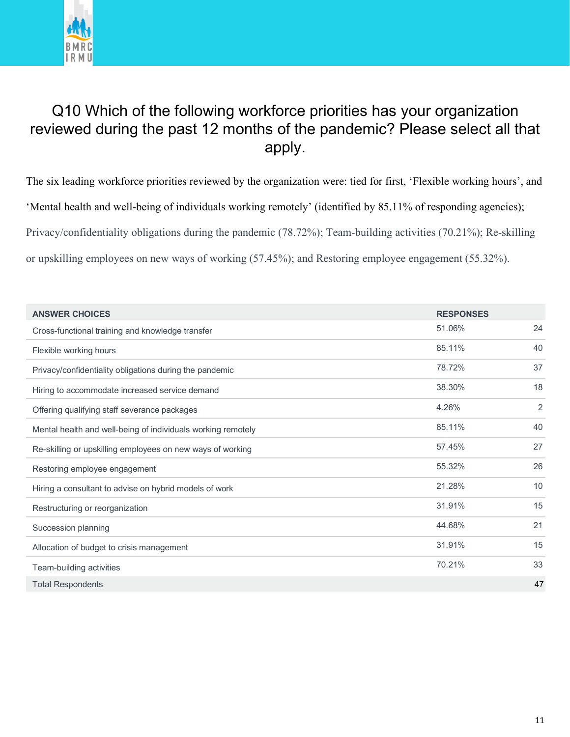

#### Q10 Which of the following workforce priorities has your organization reviewed during the past 12 months of the pandemic? Please select all that apply.

The six leading workforce priorities reviewed by the organization were: tied for first, 'Flexible working hours', and 'Mental health and well-being of individuals working remotely' (identified by 85.11% of responding agencies); Privacy/confidentiality obligations during the pandemic (78.72%); Team-building activities (70.21%); Re-skilling or upskilling employees on new ways of working (57.45%); and Restoring employee engagement (55.32%).

| <b>ANSWER CHOICES</b>                                        | <b>RESPONSES</b> |    |
|--------------------------------------------------------------|------------------|----|
| Cross-functional training and knowledge transfer             | 51.06%           | 24 |
| Flexible working hours                                       | 85.11%           | 40 |
| Privacy/confidentiality obligations during the pandemic      | 78.72%           | 37 |
| Hiring to accommodate increased service demand               | 38.30%           | 18 |
| Offering qualifying staff severance packages                 | 4.26%            | 2  |
| Mental health and well-being of individuals working remotely | 85.11%           | 40 |
| Re-skilling or upskilling employees on new ways of working   | 57.45%           | 27 |
| Restoring employee engagement                                | 55.32%           | 26 |
| Hiring a consultant to advise on hybrid models of work       | 21.28%           | 10 |
| Restructuring or reorganization                              | 31.91%           | 15 |
| Succession planning                                          | 44.68%           | 21 |
| Allocation of budget to crisis management                    | 31.91%           | 15 |
| Team-building activities                                     | 70.21%           | 33 |
| <b>Total Respondents</b>                                     |                  | 47 |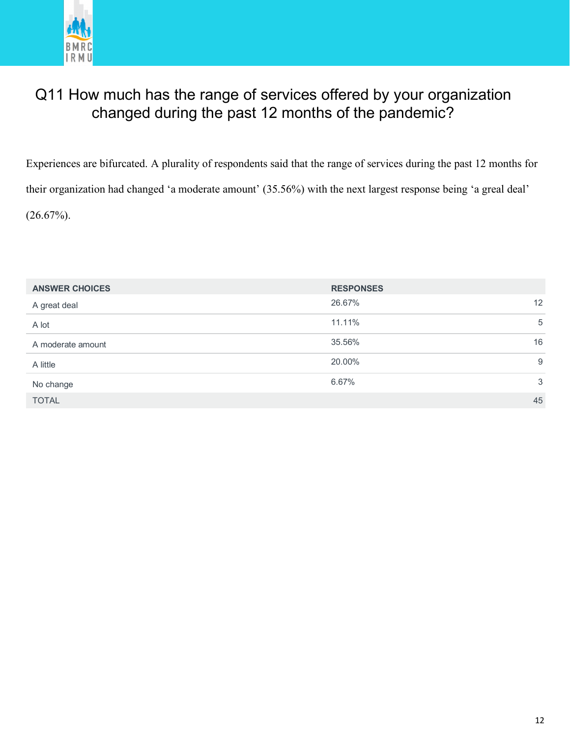

#### Q11 How much has the range of services offered by your organization changed during the past 12 months of the pandemic?

Experiences are bifurcated. A plurality of respondents said that the range of services during the past 12 months for their organization had changed 'a moderate amount' (35.56%) with the next largest response being 'a greal deal'  $(26.67\%)$ .

| <b>ANSWER CHOICES</b> | <b>RESPONSES</b> |    |
|-----------------------|------------------|----|
| A great deal          | 26.67%           | 12 |
| A lot                 | 11.11%           | 5  |
| A moderate amount     | 35.56%           | 16 |
| A little              | 20.00%           | 9  |
| No change             | 6.67%            | 3  |
| <b>TOTAL</b>          |                  | 45 |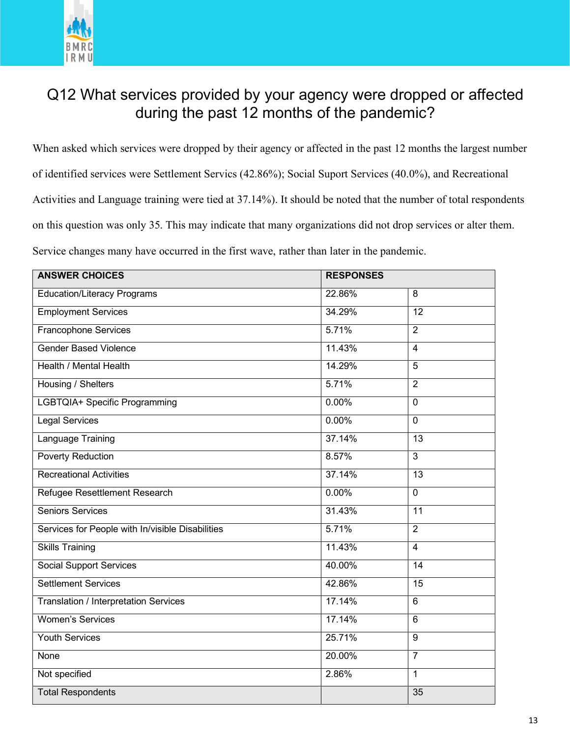

#### Q12 What services provided by your agency were dropped or affected during the past 12 months of the pandemic?

When asked which services were dropped by their agency or affected in the past 12 months the largest number of identified services were Settlement Servics (42.86%); Social Suport Services (40.0%), and Recreational Activities and Language training were tied at 37.14%). It should be noted that the number of total respondents on this question was only 35. This may indicate that many organizations did not drop services or alter them. Service changes many have occurred in the first wave, rather than later in the pandemic.

| <b>ANSWER CHOICES</b>                            | <b>RESPONSES</b> |                 |
|--------------------------------------------------|------------------|-----------------|
| <b>Education/Literacy Programs</b>               | 22.86%           | $\overline{8}$  |
| <b>Employment Services</b>                       | 34.29%           | $\overline{12}$ |
| Francophone Services                             | 5.71%            | $\overline{2}$  |
| <b>Gender Based Violence</b>                     | 11.43%           | $\overline{4}$  |
| Health / Mental Health                           | 14.29%           | $\overline{5}$  |
| Housing / Shelters                               | 5.71%            | $\overline{2}$  |
| <b>LGBTQIA+ Specific Programming</b>             | 0.00%            | $\overline{0}$  |
| <b>Legal Services</b>                            | 0.00%            | $\mathbf 0$     |
| Language Training                                | 37.14%           | 13              |
| <b>Poverty Reduction</b>                         | 8.57%            | $\overline{3}$  |
| <b>Recreational Activities</b>                   | 37.14%           | $\overline{13}$ |
| <b>Refugee Resettlement Research</b>             | 0.00%            | $\overline{0}$  |
| <b>Seniors Services</b>                          | 31.43%           | $\overline{11}$ |
| Services for People with In/visible Disabilities | 5.71%            | $\overline{2}$  |
| <b>Skills Training</b>                           | 11.43%           | $\overline{4}$  |
| <b>Social Support Services</b>                   | 40.00%           | $\overline{14}$ |
| <b>Settlement Services</b>                       | 42.86%           | 15              |
| Translation / Interpretation Services            | 17.14%           | $\overline{6}$  |
| <b>Women's Services</b>                          | 17.14%           | $\overline{6}$  |
| <b>Youth Services</b>                            | 25.71%           | $9\,$           |
| None                                             | 20.00%           | $\overline{7}$  |
| Not specified                                    | 2.86%            | $\overline{1}$  |
| <b>Total Respondents</b>                         |                  | $\overline{35}$ |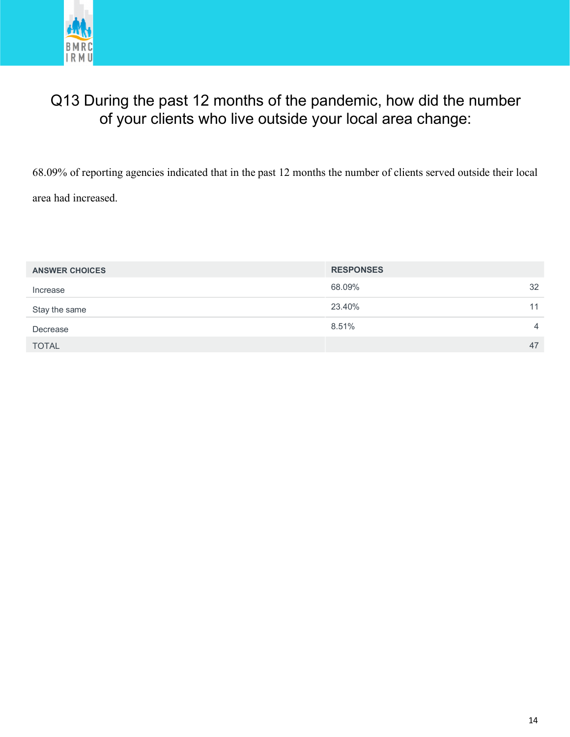

#### Q13 During the past 12 months of the pandemic, how did the number of your clients who live outside your local area change:

68.09% of reporting agencies indicated that in the past 12 months the number of clients served outside their local area had increased.

| <b>ANSWER CHOICES</b> | <b>RESPONSES</b> |                |
|-----------------------|------------------|----------------|
| Increase              | 68.09%           | 32             |
| Stay the same         | 23.40%           | 11             |
| Decrease              | 8.51%            | $\overline{4}$ |
| <b>TOTAL</b>          |                  | 47             |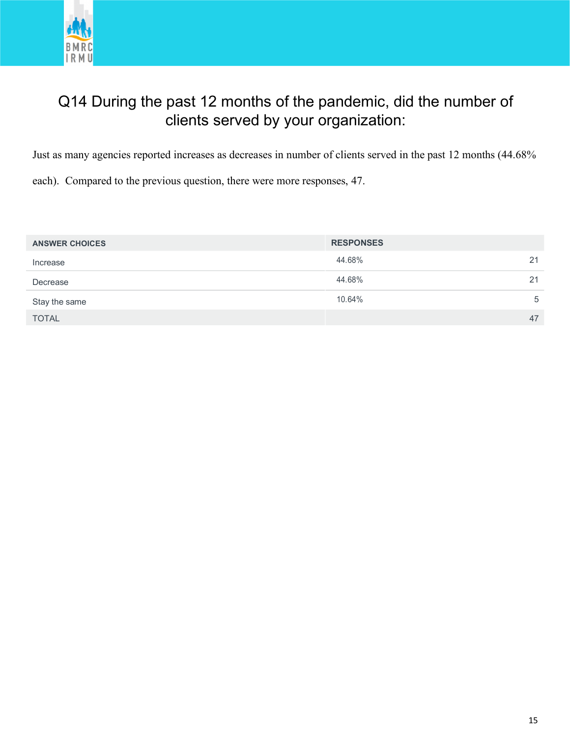

#### Q14 During the past 12 months of the pandemic, did the number of clients served by your organization:

Just as many agencies reported increases as decreases in number of clients served in the past 12 months (44.68%

each). Compared to the previous question, there were more responses, 47.

| <b>ANSWER CHOICES</b> | <b>RESPONSES</b> |    |
|-----------------------|------------------|----|
| Increase              | 44.68%           | 21 |
| Decrease              | 44.68%           | 21 |
| Stay the same         | 10.64%           | 5  |
| <b>TOTAL</b>          |                  | 47 |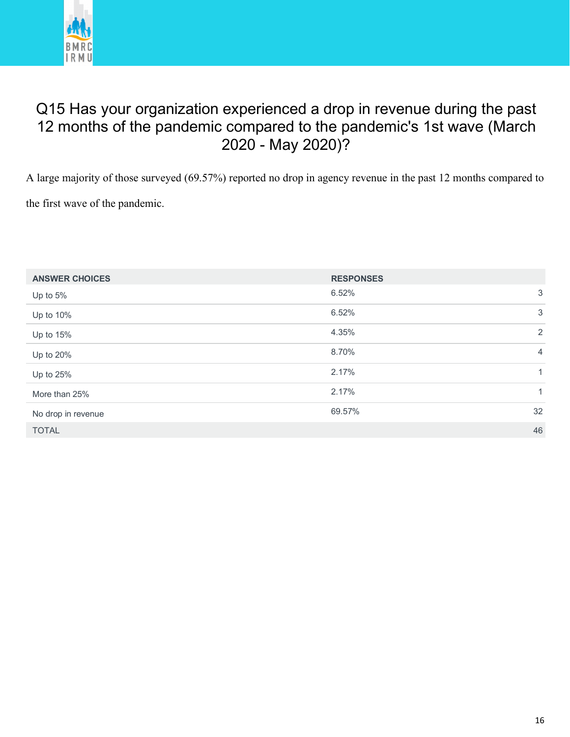

#### Q15 Has your organization experienced a drop in revenue during the past 12 months of the pandemic compared to the pandemic's 1st wave (March 2020 - May 2020)?

A large majority of those surveyed (69.57%) reported no drop in agency revenue in the past 12 months compared to the first wave of the pandemic.

| <b>ANSWER CHOICES</b> | <b>RESPONSES</b> |              |
|-----------------------|------------------|--------------|
| Up to 5%              | 6.52%            | 3            |
| Up to 10%             | 6.52%            | 3            |
| Up to 15%             | 4.35%            | 2            |
| Up to 20%             | 8.70%            | 4            |
| Up to 25%             | 2.17%            | $\mathbf{1}$ |
| More than 25%         | 2.17%            | $\mathbf{1}$ |
| No drop in revenue    | 69.57%           | 32           |
| <b>TOTAL</b>          |                  | 46           |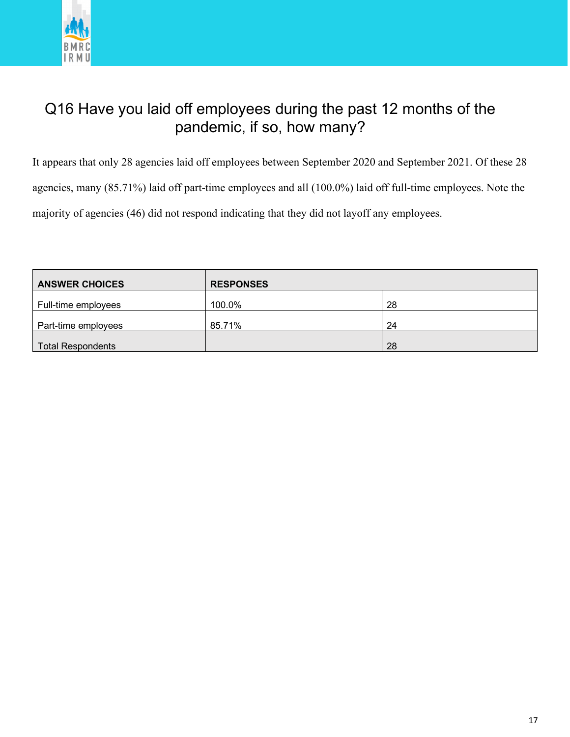

#### Q16 Have you laid off employees during the past 12 months of the pandemic, if so, how many?

It appears that only 28 agencies laid off employees between September 2020 and September 2021. Of these 28 agencies, many (85.71%) laid off part-time employees and all (100.0%) laid off full-time employees. Note the majority of agencies (46) did not respond indicating that they did not layoff any employees.

| <b>ANSWER CHOICES</b>    | <b>RESPONSES</b> |    |
|--------------------------|------------------|----|
| Full-time employees      | 100.0%           | 28 |
| Part-time employees      | 85.71%           | 24 |
| <b>Total Respondents</b> |                  | 28 |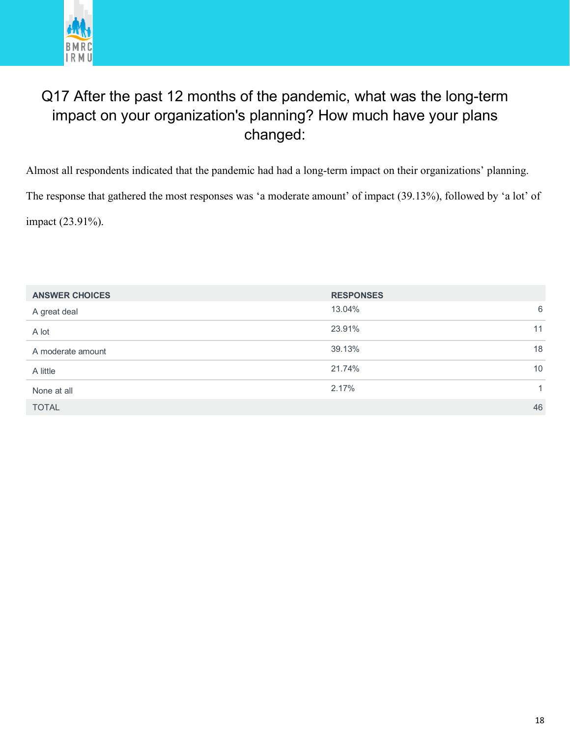

#### Q17 After the past 12 months of the pandemic, what was the long-term impact on your organization's planning? How much have your plans changed:

Almost all respondents indicated that the pandemic had had a long-term impact on their organizations' planning. The response that gathered the most responses was 'a moderate amount' of impact (39.13%), followed by 'a lot' of impact (23.91%).

| <b>ANSWER CHOICES</b> | <b>RESPONSES</b> |
|-----------------------|------------------|
| A great deal          | 13.04%<br>6      |
| A lot                 | 11<br>23.91%     |
| A moderate amount     | 39.13%<br>18     |
| A little              | 10<br>21.74%     |
| None at all           | 2.17%<br>1.      |
| <b>TOTAL</b>          | 46               |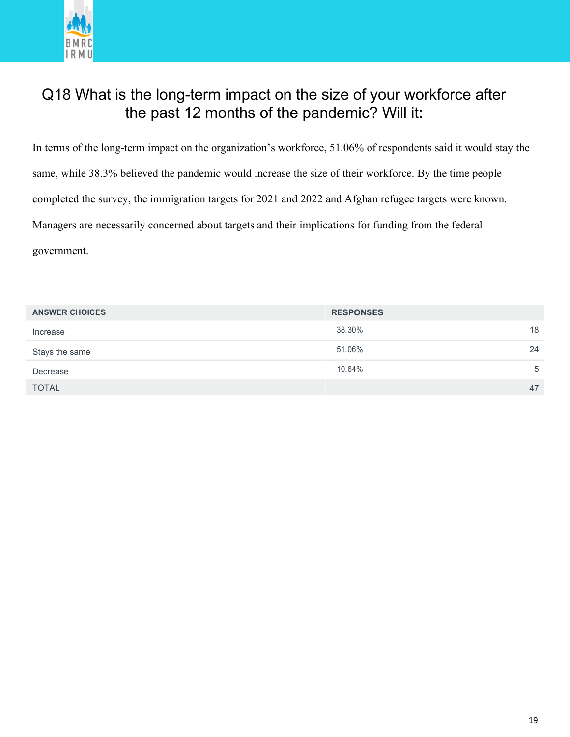

#### Q18 What is the long-term impact on the size of your workforce after the past 12 months of the pandemic? Will it:

In terms of the long-term impact on the organization's workforce, 51.06% of respondents said it would stay the same, while 38.3% believed the pandemic would increase the size of their workforce. By the time people completed the survey, the immigration targets for 2021 and 2022 and Afghan refugee targets were known. Managers are necessarily concerned about targets and their implications for funding from the federal government.

| <b>ANSWER CHOICES</b> | <b>RESPONSES</b> |    |
|-----------------------|------------------|----|
| Increase              | 38.30%           | 18 |
| Stays the same        | 51.06%           | 24 |
| Decrease              | 10.64%           | 5  |
| <b>TOTAL</b>          |                  | 47 |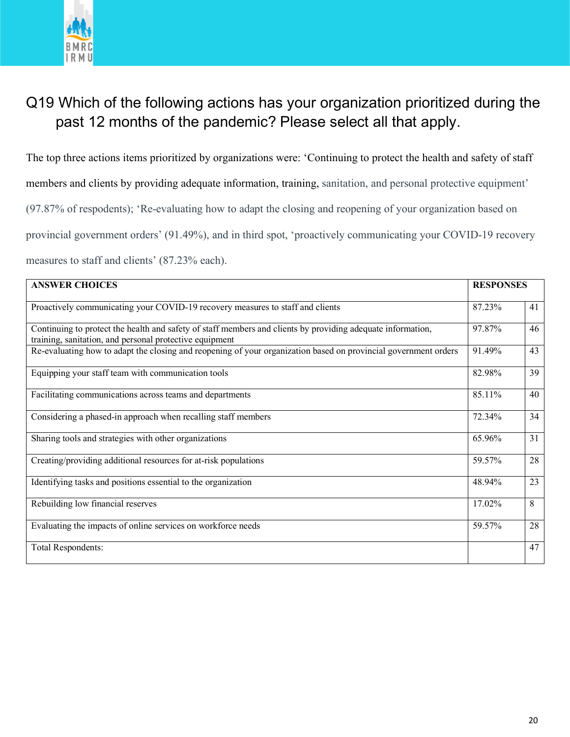

#### Q19 Which of the following actions has your organization prioritized during the past 12 months of the pandemic? Please select all that apply.

The top three actions items prioritized by organizations were: 'Continuing to protect the health and safety of staff members and clients by providing adequate information, training, sanitation, and personal protective equipment' (97.87% of respodents); 'Re-evaluating how to adapt the closing and reopening of your organization based on provincial government orders' (91.49%), and in third spot, 'proactively communicating your COVID-19 recovery measures to staff and clients' (87.23% each).

| <b>ANSWER CHOICES</b>                                                                                                                                                  | <b>RESPONSES</b> |    |
|------------------------------------------------------------------------------------------------------------------------------------------------------------------------|------------------|----|
| Proactively communicating your COVID-19 recovery measures to staff and clients                                                                                         | 87.23%           | 41 |
| Continuing to protect the health and safety of staff members and clients by providing adequate information,<br>training, sanitation, and personal protective equipment | 97.87%           | 46 |
| Re-evaluating how to adapt the closing and reopening of your organization based on provincial government orders                                                        | 91.49%           | 43 |
| Equipping your staff team with communication tools                                                                                                                     | 82.98%           | 39 |
| Facilitating communications across teams and departments                                                                                                               | 85.11%           | 40 |
| Considering a phased-in approach when recalling staff members                                                                                                          | 72.34%           | 34 |
| Sharing tools and strategies with other organizations                                                                                                                  | 65.96%           | 31 |
| Creating/providing additional resources for at-risk populations                                                                                                        | 59.57%           | 28 |
| Identifying tasks and positions essential to the organization                                                                                                          | 48.94%           | 23 |
| Rebuilding low financial reserves                                                                                                                                      | 17.02%           | 8  |
| Evaluating the impacts of online services on workforce needs                                                                                                           | 59.57%           | 28 |
| <b>Total Respondents:</b>                                                                                                                                              |                  | 47 |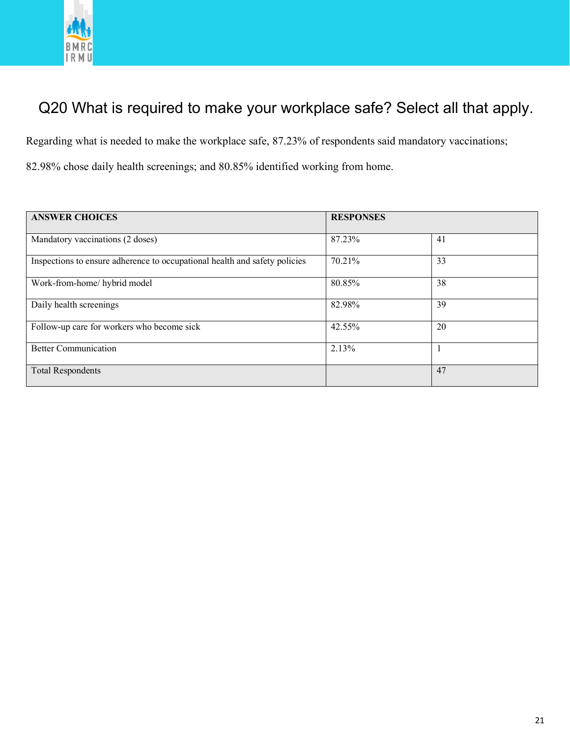

## Q20 What is required to make your workplace safe? Select all that apply.

Regarding what is needed to make the workplace safe, 87.23% of respondents said mandatory vaccinations;

82.98% chose daily health screenings; and 80.85% identified working from home.

| <b>ANSWER CHOICES</b>                                                      | <b>RESPONSES</b> |    |
|----------------------------------------------------------------------------|------------------|----|
| Mandatory vaccinations (2 doses)                                           | 87.23%           | 41 |
| Inspections to ensure adherence to occupational health and safety policies | 70.21%           | 33 |
| Work-from-home/hybrid model                                                | 80.85%           | 38 |
| Daily health screenings                                                    | 82.98%           | 39 |
| Follow-up care for workers who become sick                                 | 42.55%           | 20 |
| <b>Better Communication</b>                                                | 2.13%            |    |
| <b>Total Respondents</b>                                                   |                  | 47 |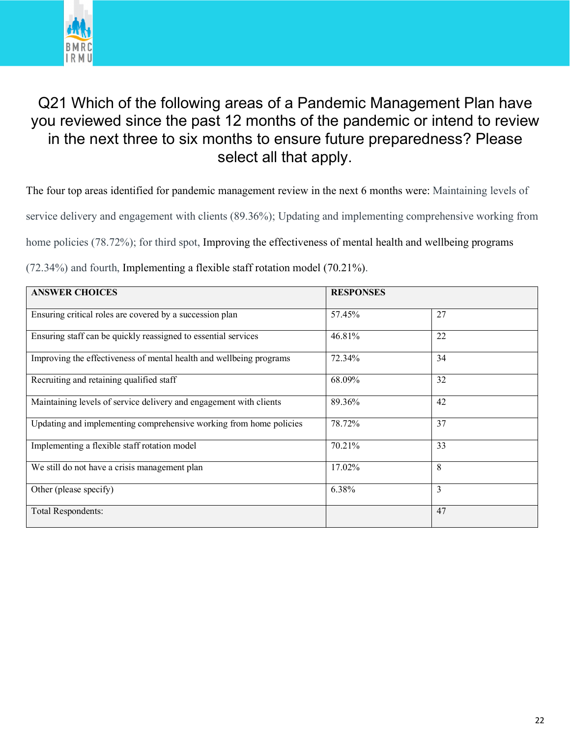

#### Q21 Which of the following areas of a Pandemic Management Plan have you reviewed since the past 12 months of the pandemic or intend to review in the next three to six months to ensure future preparedness? Please select all that apply.

The four top areas identified for pandemic management review in the next 6 months were: Maintaining levels of

service delivery and engagement with clients (89.36%); Updating and implementing comprehensive working from

home policies (78.72%); for third spot, Improving the effectiveness of mental health and wellbeing programs

(72.34%) and fourth, Implementing a flexible staff rotation model (70.21%).

| <b>ANSWER CHOICES</b>                                               | <b>RESPONSES</b> |    |
|---------------------------------------------------------------------|------------------|----|
| Ensuring critical roles are covered by a succession plan            | 57.45%           | 27 |
| Ensuring staff can be quickly reassigned to essential services      | 46.81%           | 22 |
| Improving the effectiveness of mental health and wellbeing programs | 72.34%           | 34 |
| Recruiting and retaining qualified staff                            | 68.09%           | 32 |
| Maintaining levels of service delivery and engagement with clients  | 89.36%           | 42 |
| Updating and implementing comprehensive working from home policies  | 78.72%           | 37 |
| Implementing a flexible staff rotation model                        | 70.21%           | 33 |
| We still do not have a crisis management plan                       | 17.02%           | 8  |
| Other (please specify)                                              | 6.38%            | 3  |
| Total Respondents:                                                  |                  | 47 |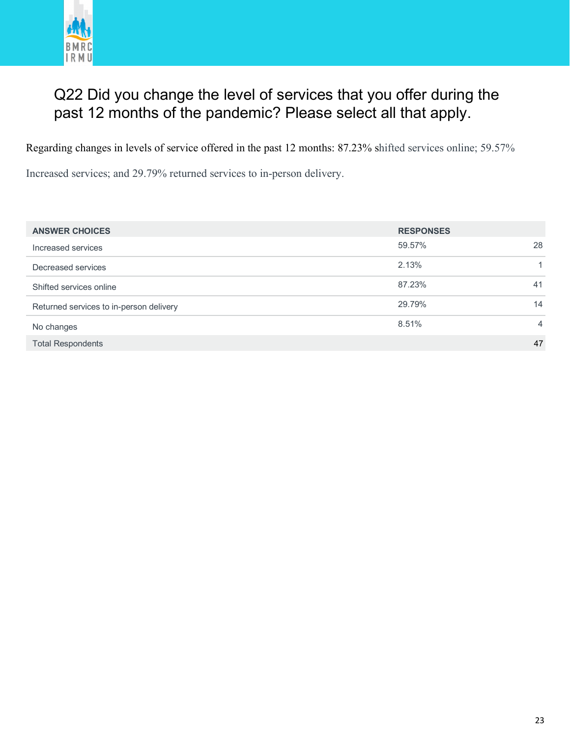

#### Q22 Did you change the level of services that you offer during the past 12 months of the pandemic? Please select all that apply.

Regarding changes in levels of service offered in the past 12 months: 87.23% shifted services online; 59.57%

Increased services; and 29.79% returned services to in-person delivery.

| <b>ANSWER CHOICES</b>                   | <b>RESPONSES</b> |    |
|-----------------------------------------|------------------|----|
| Increased services                      | 59.57%           | 28 |
| Decreased services                      | 2.13%            |    |
| Shifted services online                 | 87.23%           | 41 |
| Returned services to in-person delivery | 29.79%           | 14 |
| No changes                              | 8.51%            | 4  |
| <b>Total Respondents</b>                |                  | 47 |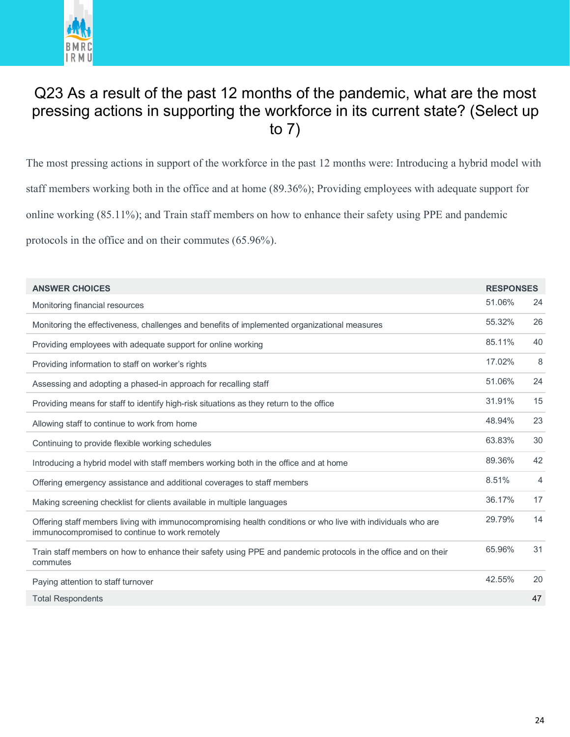

#### Q23 As a result of the past 12 months of the pandemic, what are the most pressing actions in supporting the workforce in its current state? (Select up to 7)

The most pressing actions in support of the workforce in the past 12 months were: Introducing a hybrid model with staff members working both in the office and at home (89.36%); Providing employees with adequate support for online working (85.11%); and Train staff members on how to enhance their safety using PPE and pandemic protocols in the office and on their commutes (65.96%).

| <b>ANSWER CHOICES</b>                                                                                                                                          | <b>RESPONSES</b> |    |
|----------------------------------------------------------------------------------------------------------------------------------------------------------------|------------------|----|
| Monitoring financial resources                                                                                                                                 | 51.06%           | 24 |
| Monitoring the effectiveness, challenges and benefits of implemented organizational measures                                                                   | 55.32%           | 26 |
| Providing employees with adequate support for online working                                                                                                   | 85.11%           | 40 |
| Providing information to staff on worker's rights                                                                                                              | 17.02%           | 8  |
| Assessing and adopting a phased-in approach for recalling staff                                                                                                | 51.06%           | 24 |
| Providing means for staff to identify high-risk situations as they return to the office                                                                        | 31.91%           | 15 |
| Allowing staff to continue to work from home                                                                                                                   | 48.94%           | 23 |
| Continuing to provide flexible working schedules                                                                                                               | 63.83%           | 30 |
| Introducing a hybrid model with staff members working both in the office and at home                                                                           | 89.36%           | 42 |
| Offering emergency assistance and additional coverages to staff members                                                                                        | 8.51%            | 4  |
| Making screening checklist for clients available in multiple languages                                                                                         | 36.17%           | 17 |
| Offering staff members living with immunocompromising health conditions or who live with individuals who are<br>immunocompromised to continue to work remotely | 29.79%           | 14 |
| Train staff members on how to enhance their safety using PPE and pandemic protocols in the office and on their<br>commutes                                     | 65.96%           | 31 |
| Paying attention to staff turnover                                                                                                                             | 42.55%           | 20 |
| <b>Total Respondents</b>                                                                                                                                       |                  | 47 |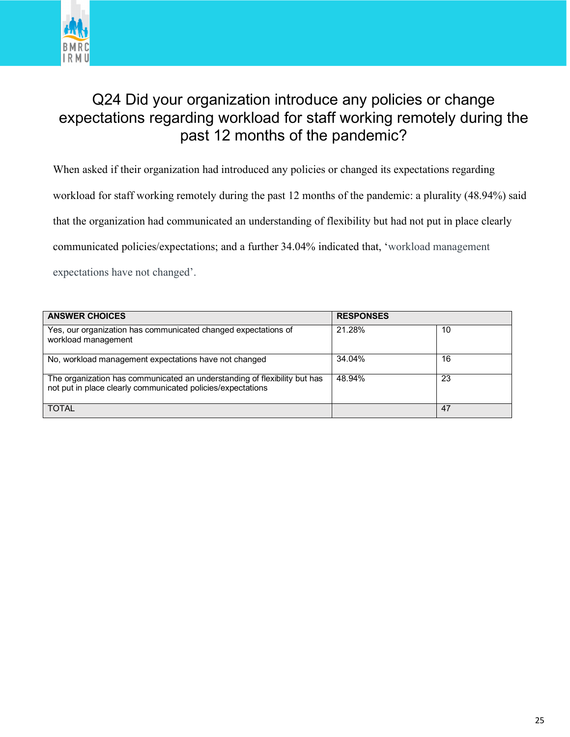

#### Q24 Did your organization introduce any policies or change expectations regarding workload for staff working remotely during the past 12 months of the pandemic?

When asked if their organization had introduced any policies or changed its expectations regarding

workload for staff working remotely during the past 12 months of the pandemic: a plurality (48.94%) said

that the organization had communicated an understanding of flexibility but had not put in place clearly

communicated policies/expectations; and a further 34.04% indicated that, 'workload management

expectations have not changed'.

| <b>ANSWER CHOICES</b>                                                                                                                    | <b>RESPONSES</b> |    |
|------------------------------------------------------------------------------------------------------------------------------------------|------------------|----|
| Yes, our organization has communicated changed expectations of<br>workload management                                                    | 21.28%           | 10 |
| No, workload management expectations have not changed                                                                                    | 34.04%           | 16 |
| The organization has communicated an understanding of flexibility but has<br>not put in place clearly communicated policies/expectations | 48.94%           | 23 |
| <b>TOTAL</b>                                                                                                                             |                  | 47 |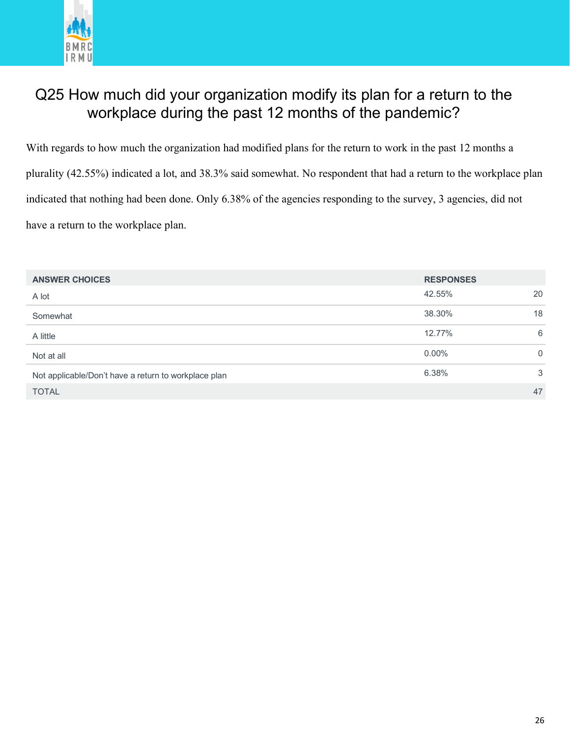

#### Q25 How much did your organization modify its plan for a return to the workplace during the past 12 months of the pandemic?

With regards to how much the organization had modified plans for the return to work in the past 12 months a plurality (42.55%) indicated a lot, and 38.3% said somewhat. No respondent that had a return to the workplace plan indicated that nothing had been done. Only 6.38% of the agencies responding to the survey, 3 agencies, did not have a return to the workplace plan.

| <b>ANSWER CHOICES</b>                                | <b>RESPONSES</b> |          |
|------------------------------------------------------|------------------|----------|
| A lot                                                | 42.55%           | 20       |
| Somewhat                                             | 38.30%           | 18       |
| A little                                             | 12.77%           | 6        |
| Not at all                                           | $0.00\%$         | $\Omega$ |
| Not applicable/Don't have a return to workplace plan | 6.38%            | 3        |
| <b>TOTAL</b>                                         |                  | 47       |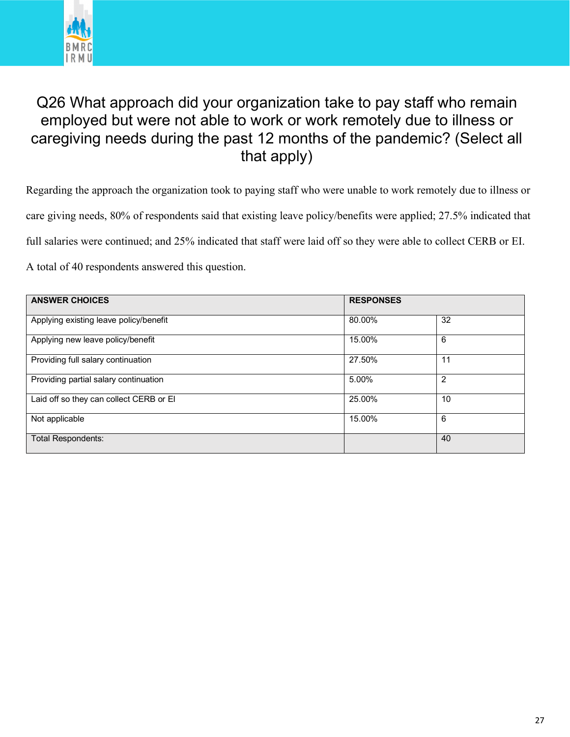

#### Q26 What approach did your organization take to pay staff who remain employed but were not able to work or work remotely due to illness or caregiving needs during the past 12 months of the pandemic? (Select all that apply)

Regarding the approach the organization took to paying staff who were unable to work remotely due to illness or care giving needs, 80% of respondents said that existing leave policy/benefits were applied; 27.5% indicated that full salaries were continued; and 25% indicated that staff were laid off so they were able to collect CERB or EI.

A total of 40 respondents answered this question.

| <b>ANSWER CHOICES</b>                   | <b>RESPONSES</b> |                |  |
|-----------------------------------------|------------------|----------------|--|
| Applying existing leave policy/benefit  | 80.00%           | 32             |  |
| Applying new leave policy/benefit       | 15.00%           | 6              |  |
| Providing full salary continuation      | 27.50%           | 11             |  |
| Providing partial salary continuation   | 5.00%            | $\overline{2}$ |  |
| Laid off so they can collect CERB or El | 25.00%           | 10             |  |
| Not applicable                          | 15.00%           | 6              |  |
| <b>Total Respondents:</b>               |                  | 40             |  |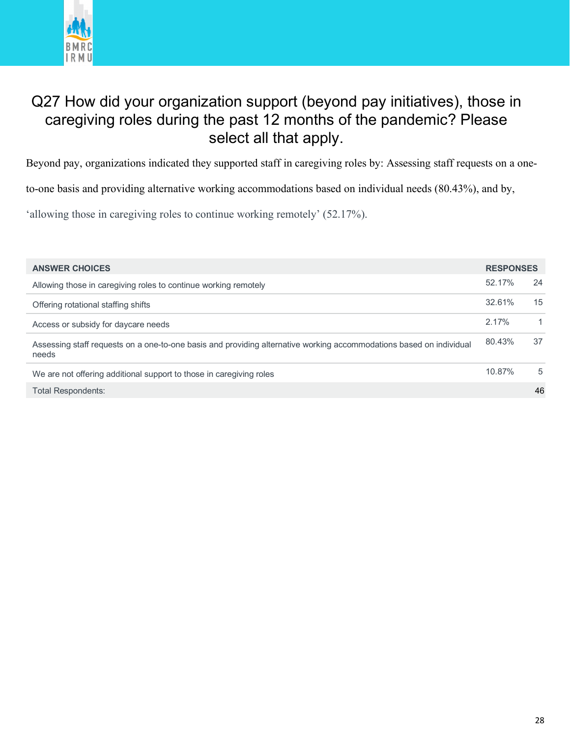

#### Q27 How did your organization support (beyond pay initiatives), those in caregiving roles during the past 12 months of the pandemic? Please select all that apply.

Beyond pay, organizations indicated they supported staff in caregiving roles by: Assessing staff requests on a one-

to-one basis and providing alternative working accommodations based on individual needs (80.43%), and by,

'allowing those in caregiving roles to continue working remotely' (52.17%).

| <b>ANSWER CHOICES</b>                                                                                                        | <b>RESPONSES</b> |    |
|------------------------------------------------------------------------------------------------------------------------------|------------------|----|
| Allowing those in caregiving roles to continue working remotely                                                              | 52.17%           | 24 |
| Offering rotational staffing shifts                                                                                          | 32.61%           | 15 |
| Access or subsidy for daycare needs                                                                                          | 2.17%            | 1  |
| Assessing staff requests on a one-to-one basis and providing alternative working accommodations based on individual<br>needs | 80.43%           | 37 |
| We are not offering additional support to those in caregiving roles                                                          | 10.87%           | 5  |
| <b>Total Respondents:</b>                                                                                                    |                  | 46 |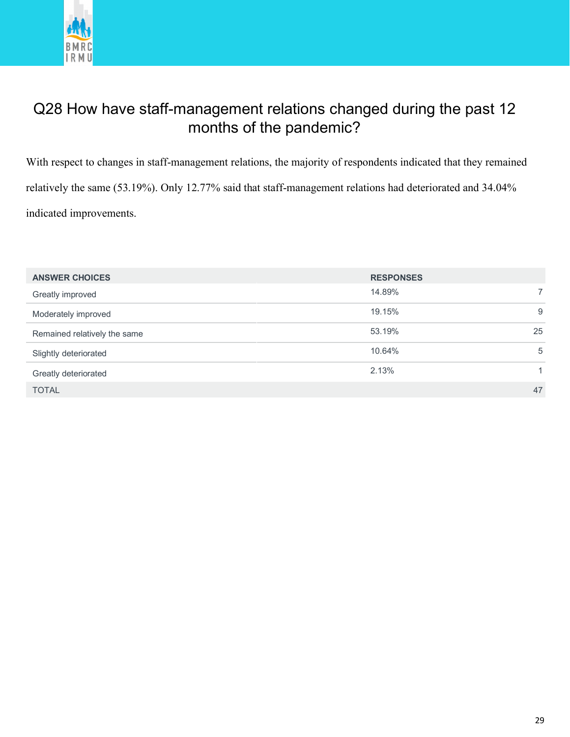

#### Q28 How have staff-management relations changed during the past 12 months of the pandemic?

With respect to changes in staff-management relations, the majority of respondents indicated that they remained relatively the same (53.19%). Only 12.77% said that staff-management relations had deteriorated and 34.04% indicated improvements.

| <b>ANSWER CHOICES</b>        | <b>RESPONSES</b> |    |
|------------------------------|------------------|----|
| Greatly improved             | 14.89%           | 7  |
| Moderately improved          | 19.15%           | 9  |
| Remained relatively the same | 53.19%           | 25 |
| Slightly deteriorated        | 10.64%           | 5  |
| Greatly deteriorated         | 2.13%            |    |
| <b>TOTAL</b>                 |                  | 47 |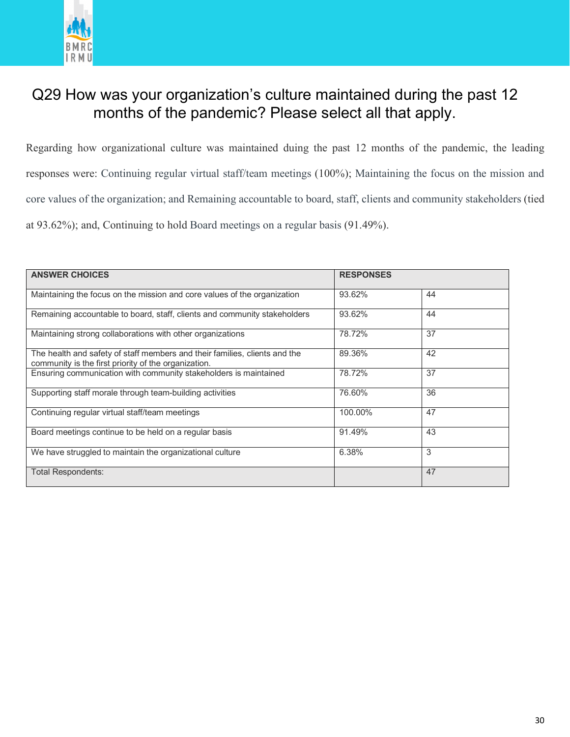

#### Q29 How was your organization's culture maintained during the past 12 months of the pandemic? Please select all that apply.

Regarding how organizational culture was maintained duing the past 12 months of the pandemic, the leading responses were: Continuing regular virtual staff/team meetings (100%); Maintaining the focus on the mission and core values of the organization; and Remaining accountable to board, staff, clients and community stakeholders (tied at 93.62%); and, Continuing to hold Board meetings on a regular basis (91.49%).

| <b>ANSWER CHOICES</b>                                                                                                              | <b>RESPONSES</b> |    |
|------------------------------------------------------------------------------------------------------------------------------------|------------------|----|
| Maintaining the focus on the mission and core values of the organization                                                           | 93.62%           | 44 |
| Remaining accountable to board, staff, clients and community stakeholders                                                          | 93.62%           | 44 |
| Maintaining strong collaborations with other organizations                                                                         | 78.72%           | 37 |
| The health and safety of staff members and their families, clients and the<br>community is the first priority of the organization. | 89.36%           | 42 |
| Ensuring communication with community stakeholders is maintained                                                                   | 78.72%           | 37 |
| Supporting staff morale through team-building activities                                                                           | 76.60%           | 36 |
| Continuing regular virtual staff/team meetings                                                                                     | 100.00%          | 47 |
| Board meetings continue to be held on a regular basis                                                                              | 91.49%           | 43 |
| We have struggled to maintain the organizational culture                                                                           | 6.38%            | 3  |
| Total Respondents:                                                                                                                 |                  | 47 |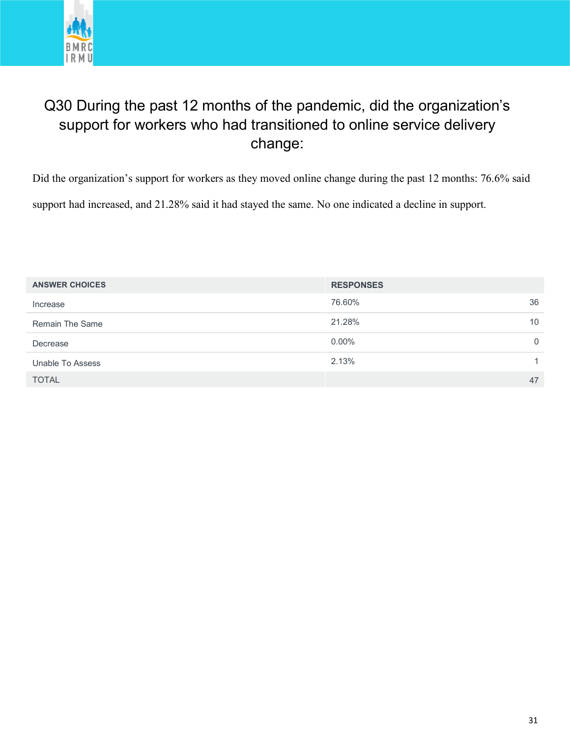

#### Q30 During the past 12 months of the pandemic, did the organization's support for workers who had transitioned to online service delivery change:

Did the organization's support for workers as they moved online change during the past 12 months: 76.6% said support had increased, and 21.28% said it had stayed the same. No one indicated a decline in support.

| <b>ANSWER CHOICES</b>  | <b>RESPONSES</b> |          |
|------------------------|------------------|----------|
| Increase               | 76.60%           | 36       |
| <b>Remain The Same</b> | 21.28%           | 10       |
| Decrease               | $0.00\%$         | $\Omega$ |
| Unable To Assess       | 2.13%            |          |
| <b>TOTAL</b>           |                  | 47       |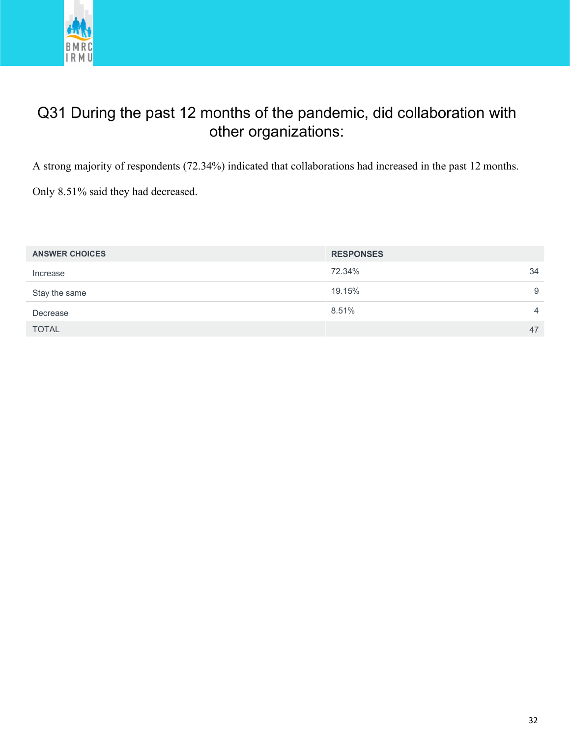

#### Q31 During the past 12 months of the pandemic, did collaboration with other organizations:

A strong majority of respondents (72.34%) indicated that collaborations had increased in the past 12 months.

Only 8.51% said they had decreased.

| <b>ANSWER CHOICES</b> | <b>RESPONSES</b> |
|-----------------------|------------------|
| Increase              | 34<br>72.34%     |
| Stay the same         | 19.15%<br>9      |
| Decrease              | 8.51%<br>4       |
| <b>TOTAL</b>          | 47               |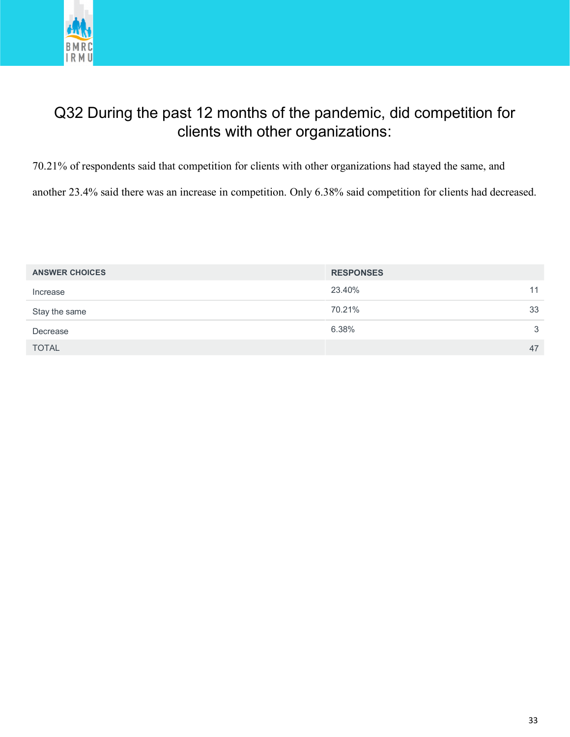

#### Q32 During the past 12 months of the pandemic, did competition for clients with other organizations:

70.21% of respondents said that competition for clients with other organizations had stayed the same, and

another 23.4% said there was an increase in competition. Only 6.38% said competition for clients had decreased.

| <b>ANSWER CHOICES</b> | <b>RESPONSES</b> |    |
|-----------------------|------------------|----|
| Increase              | 23.40%           | 11 |
| Stay the same         | 70.21%           | 33 |
| Decrease              | 6.38%            | 3  |
| <b>TOTAL</b>          |                  | 47 |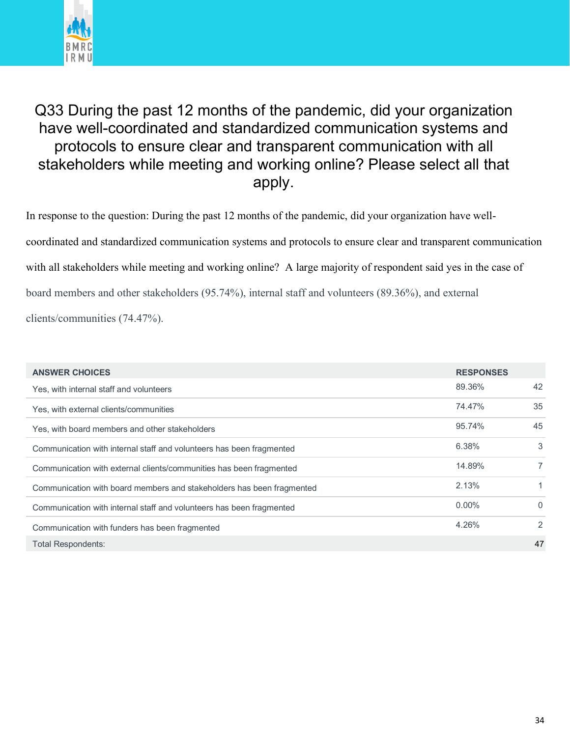

#### Q33 During the past 12 months of the pandemic, did your organization have well-coordinated and standardized communication systems and protocols to ensure clear and transparent communication with all stakeholders while meeting and working online? Please select all that apply.

In response to the question: During the past 12 months of the pandemic, did your organization have wellcoordinated and standardized communication systems and protocols to ensure clear and transparent communication with all stakeholders while meeting and working online? A large majority of respondent said yes in the case of board members and other stakeholders (95.74%), internal staff and volunteers (89.36%), and external clients/communities (74.47%).

| <b>ANSWER CHOICES</b>                                                 | <b>RESPONSES</b> |                |
|-----------------------------------------------------------------------|------------------|----------------|
| Yes, with internal staff and volunteers                               | 89.36%           | 42             |
| Yes, with external clients/communities                                | 74.47%           | 35             |
| Yes, with board members and other stakeholders                        | 95.74%           | 45             |
| Communication with internal staff and volunteers has been fragmented  | 6.38%            | 3              |
| Communication with external clients/communities has been fragmented   | 14.89%           | $\overline{7}$ |
| Communication with board members and stakeholders has been fragmented | 2.13%            | 1.             |
| Communication with internal staff and volunteers has been fragmented  | $0.00\%$         | $\mathbf{0}$   |
| Communication with funders has been fragmented                        | 4.26%            | 2              |
| <b>Total Respondents:</b>                                             |                  | 47             |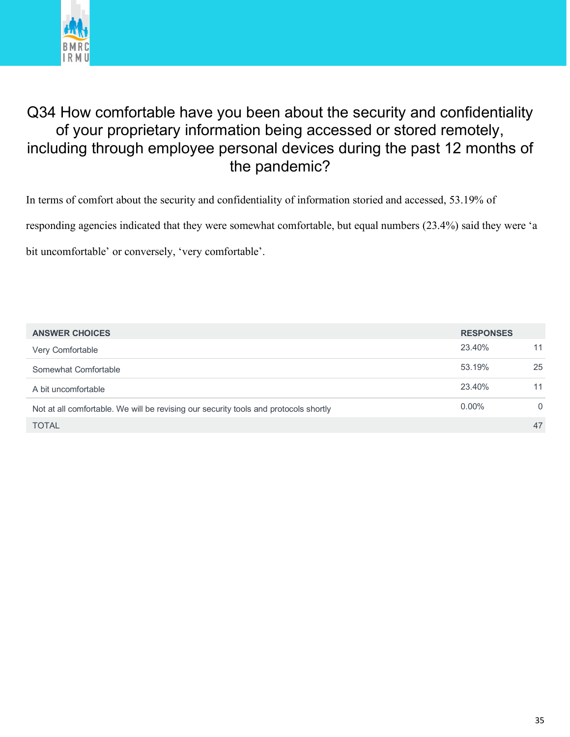

#### Q34 How comfortable have you been about the security and confidentiality of your proprietary information being accessed or stored remotely, including through employee personal devices during the past 12 months of the pandemic?

In terms of comfort about the security and confidentiality of information storied and accessed, 53.19% of

responding agencies indicated that they were somewhat comfortable, but equal numbers (23.4%) said they were 'a

bit uncomfortable' or conversely, 'very comfortable'.

| <b>ANSWER CHOICES</b>                                                                | <b>RESPONSES</b> |          |
|--------------------------------------------------------------------------------------|------------------|----------|
| Very Comfortable                                                                     | 23.40%           | 11       |
| Somewhat Comfortable                                                                 | 53.19%           | 25       |
| A bit uncomfortable                                                                  | 23.40%           | 11       |
| Not at all comfortable. We will be revising our security tools and protocols shortly | $0.00\%$         | $\Omega$ |
| <b>TOTAL</b>                                                                         |                  | 47       |
|                                                                                      |                  |          |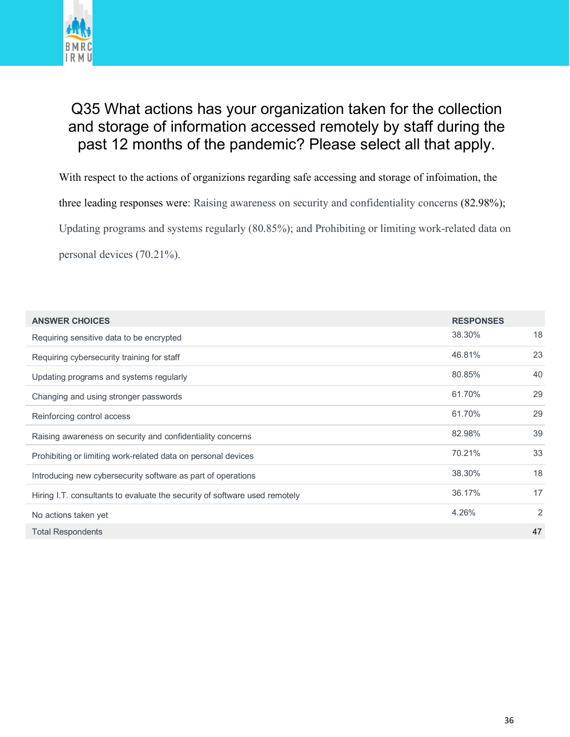

#### Q35 What actions has your organization taken for the collection and storage of information accessed remotely by staff during the past 12 months of the pandemic? Please select all that apply.

With respect to the actions of organizions regarding safe accessing and storage of infoimation, the

three leading responses were: Raising awareness on security and confidentiality concerns (82.98%);

Updating programs and systems regularly (80.85%); and Prohibiting or limiting work-related data on

personal devices (70.21%).

| <b>ANSWER CHOICES</b>                                                      | <b>RESPONSES</b> |                |
|----------------------------------------------------------------------------|------------------|----------------|
| Requiring sensitive data to be encrypted                                   | 38.30%           | 18             |
| Requiring cybersecurity training for staff                                 | 46.81%           | 23             |
| Updating programs and systems regularly                                    | 80.85%           | 40             |
| Changing and using stronger passwords                                      | 61.70%           | 29             |
| Reinforcing control access                                                 | 61.70%           | 29             |
| Raising awareness on security and confidentiality concerns                 | 82.98%           | 39             |
| Prohibiting or limiting work-related data on personal devices              | 70.21%           | 33             |
| Introducing new cybersecurity software as part of operations               | 38.30%           | 18             |
| Hiring I.T. consultants to evaluate the security of software used remotely | 36.17%           | 17             |
| No actions taken yet                                                       | 4.26%            | $\overline{2}$ |
| <b>Total Respondents</b>                                                   |                  | 47             |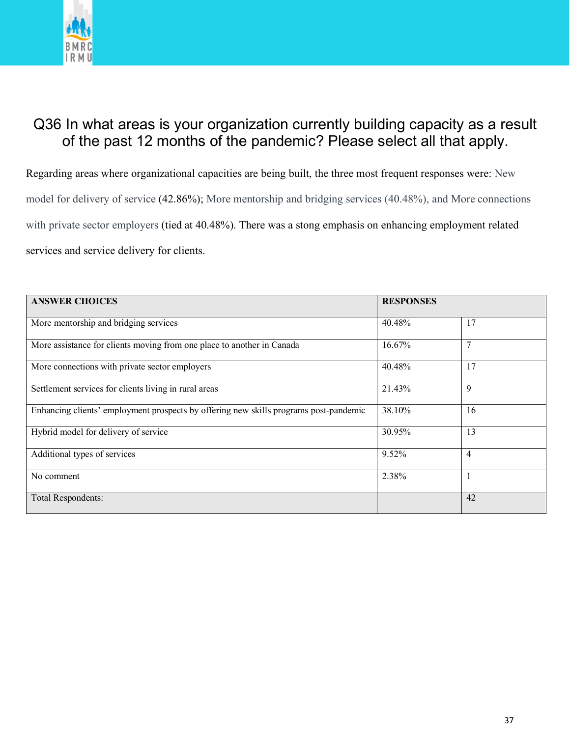

#### Q36 In what areas is your organization currently building capacity as a result of the past 12 months of the pandemic? Please select all that apply.

Regarding areas where organizational capacities are being built, the three most frequent responses were: New model for delivery of service (42.86%); More mentorship and bridging services (40.48%), and More connections with private sector employers (tied at 40.48%). There was a stong emphasis on enhancing employment related services and service delivery for clients.

| <b>ANSWER CHOICES</b>                                                                 | <b>RESPONSES</b> |                |
|---------------------------------------------------------------------------------------|------------------|----------------|
| More mentorship and bridging services                                                 | 40.48%           | 17             |
| More assistance for clients moving from one place to another in Canada                | 16.67%           | 7              |
| More connections with private sector employers                                        | 40.48%           | 17             |
| Settlement services for clients living in rural areas                                 | 21.43%           | 9              |
| Enhancing clients' employment prospects by offering new skills programs post-pandemic | 38.10%           | 16             |
| Hybrid model for delivery of service                                                  | 30.95%           | 13             |
| Additional types of services                                                          | 9.52%            | $\overline{4}$ |
| No comment                                                                            | 2.38%            |                |
| <b>Total Respondents:</b>                                                             |                  | 42             |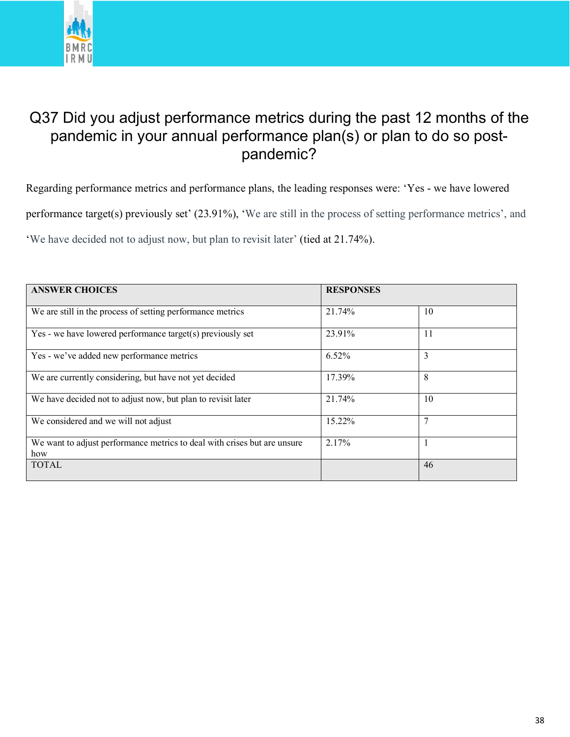

#### Q37 Did you adjust performance metrics during the past 12 months of the pandemic in your annual performance plan(s) or plan to do so postpandemic?

Regarding performance metrics and performance plans, the leading responses were: 'Yes - we have lowered performance target(s) previously set' (23.91%), 'We are still in the process of setting performance metrics', and 'We have decided not to adjust now, but plan to revisit later' (tied at 21.74%).

| <b>ANSWER CHOICES</b>                                                           | <b>RESPONSES</b> |    |
|---------------------------------------------------------------------------------|------------------|----|
| We are still in the process of setting performance metrics                      | 21.74%           | 10 |
| Yes - we have lowered performance target(s) previously set                      | 23.91%           | 11 |
| Yes - we've added new performance metrics                                       | 6.52%            | 3  |
| We are currently considering, but have not yet decided                          | 17.39%           | 8  |
| We have decided not to adjust now, but plan to revisit later                    | 21.74%           | 10 |
| We considered and we will not adjust                                            | 15.22%           | 7  |
| We want to adjust performance metrics to deal with crises but are unsure<br>how | 2.17%            |    |
| <b>TOTAL</b>                                                                    |                  | 46 |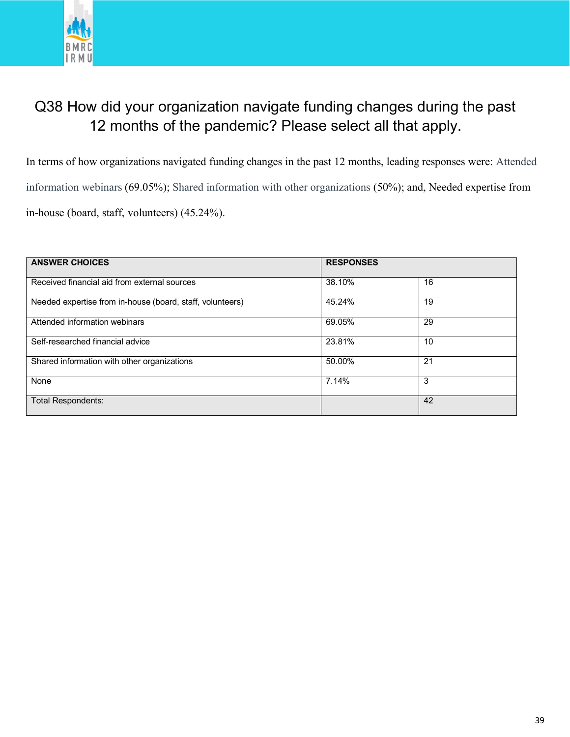

#### Q38 How did your organization navigate funding changes during the past 12 months of the pandemic? Please select all that apply.

In terms of how organizations navigated funding changes in the past 12 months, leading responses were: Attended information webinars (69.05%); Shared information with other organizations (50%); and, Needed expertise from in-house (board, staff, volunteers) (45.24%).

| <b>ANSWER CHOICES</b>                                     | <b>RESPONSES</b> |    |
|-----------------------------------------------------------|------------------|----|
| Received financial aid from external sources              | 38.10%           | 16 |
| Needed expertise from in-house (board, staff, volunteers) | 45.24%           | 19 |
| Attended information webinars                             | 69.05%           | 29 |
| Self-researched financial advice                          | 23.81%           | 10 |
| Shared information with other organizations               | 50.00%           | 21 |
| None                                                      | 7.14%            | 3  |
| <b>Total Respondents:</b>                                 |                  | 42 |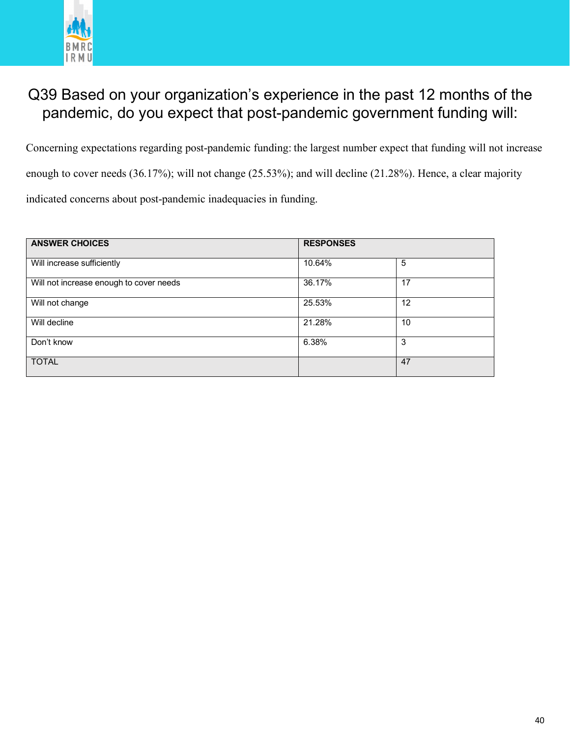

#### Q39 Based on your organization's experience in the past 12 months of the pandemic, do you expect that post-pandemic government funding will:

Concerning expectations regarding post-pandemic funding: the largest number expect that funding will not increase enough to cover needs (36.17%); will not change (25.53%); and will decline (21.28%). Hence, a clear majority indicated concerns about post-pandemic inadequacies in funding.

| <b>ANSWER CHOICES</b>                   | <b>RESPONSES</b> |    |
|-----------------------------------------|------------------|----|
| Will increase sufficiently              | 10.64%           | 5  |
| Will not increase enough to cover needs | 36.17%           | 17 |
| Will not change                         | 25.53%           | 12 |
| Will decline                            | 21.28%           | 10 |
| Don't know                              | 6.38%            | 3  |
| <b>TOTAL</b>                            |                  | 47 |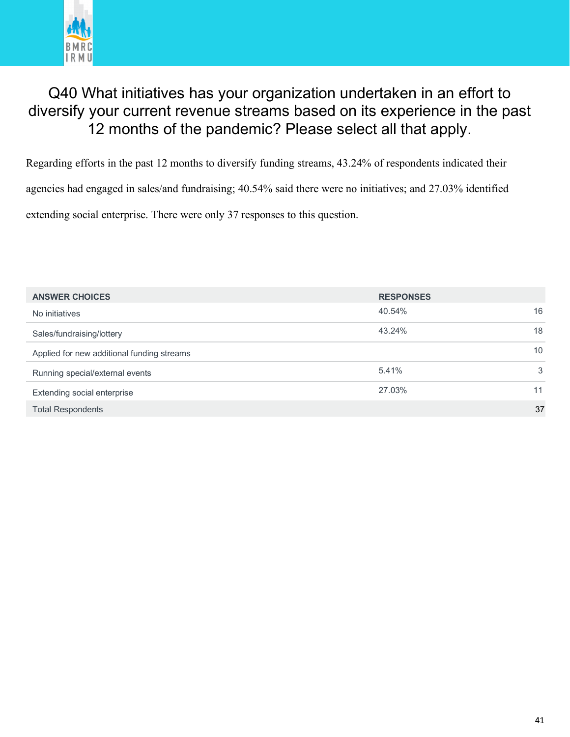

#### Q40 What initiatives has your organization undertaken in an effort to diversify your current revenue streams based on its experience in the past 12 months of the pandemic? Please select all that apply.

Regarding efforts in the past 12 months to diversify funding streams, 43.24% of respondents indicated their agencies had engaged in sales/and fundraising; 40.54% said there were no initiatives; and 27.03% identified extending social enterprise. There were only 37 responses to this question.

| <b>ANSWER CHOICES</b>                      | <b>RESPONSES</b> |    |
|--------------------------------------------|------------------|----|
| No initiatives                             | 40.54%           | 16 |
| Sales/fundraising/lottery                  | 43.24%           | 18 |
| Applied for new additional funding streams |                  | 10 |
| Running special/external events            | 5.41%            | 3  |
| Extending social enterprise                | 27.03%           | 11 |
| <b>Total Respondents</b>                   |                  | 37 |